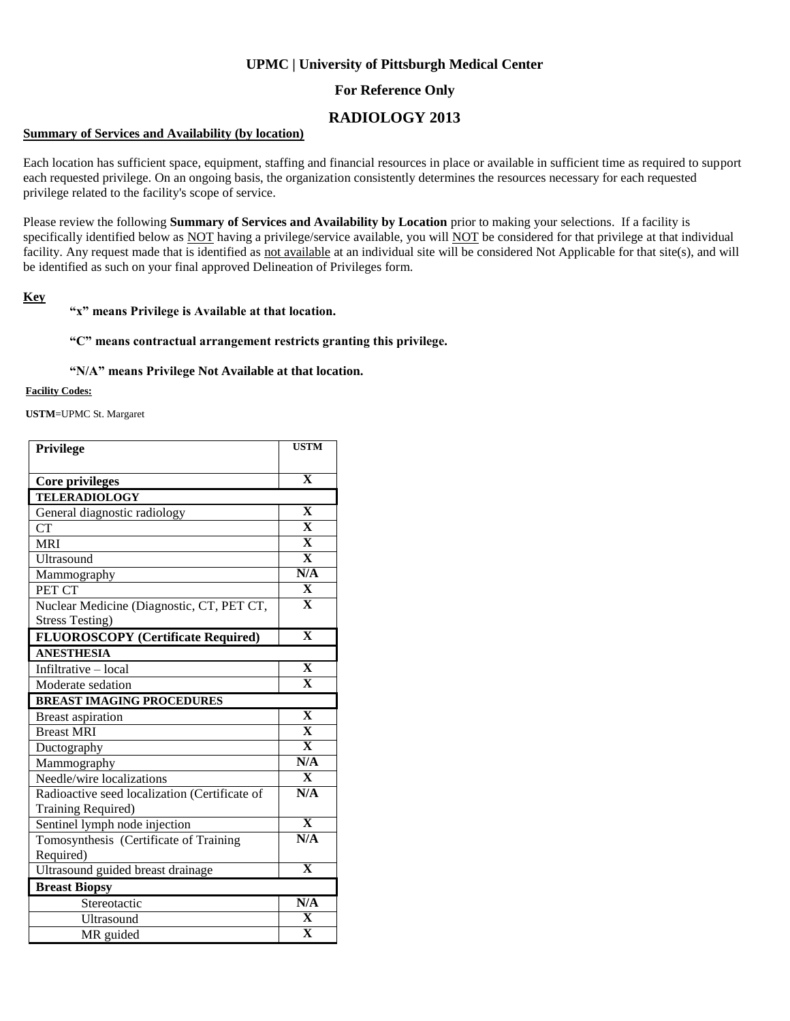# **UPMC | University of Pittsburgh Medical Center**

## **For Reference Only**

# **RADIOLOGY 2013**

### **Summary of Services and Availability (by location)**

Each location has sufficient space, equipment, staffing and financial resources in place or available in sufficient time as required to support each requested privilege. On an ongoing basis, the organization consistently determines the resources necessary for each requested privilege related to the facility's scope of service.

Please review the following **Summary of Services and Availability by Location** prior to making your selections. If a facility is specifically identified below as NOT having a privilege/service available, you will NOT be considered for that privilege at that individual facility. Any request made that is identified as not available at an individual site will be considered Not Applicable for that site(s), and will be identified as such on your final approved Delineation of Privileges form.

### **Key**

### **"x" means Privilege is Available at that location.**

#### **"C" means contractual arrangement restricts granting this privilege.**

#### **"N/A" means Privilege Not Available at that location.**

#### **Facility Codes:**

**USTM**=UPMC St. Margaret

| Privilege                                     | <b>USTM</b>             |
|-----------------------------------------------|-------------------------|
|                                               |                         |
| Core privileges                               | $\overline{\mathbf{X}}$ |
| <b>TELERADIOLOGY</b>                          |                         |
| General diagnostic radiology                  | X                       |
| <b>CT</b>                                     | $\overline{\mathbf{X}}$ |
| <b>MRI</b>                                    | $\overline{\mathbf{X}}$ |
| Ultrasound                                    | $\overline{\mathbf{X}}$ |
| Mammography                                   | N/A                     |
| PET CT                                        | $\overline{\mathbf{X}}$ |
| Nuclear Medicine (Diagnostic, CT, PET CT,     | $\overline{\mathbf{X}}$ |
| <b>Stress Testing)</b>                        |                         |
| <b>FLUOROSCOPY</b> (Certificate Required)     | $\overline{\mathbf{X}}$ |
| <b>ANESTHESIA</b>                             |                         |
| Infiltrative - local                          | $\overline{\mathbf{X}}$ |
| Moderate sedation                             | $\overline{\mathbf{X}}$ |
| <b>BREAST IMAGING PROCEDURES</b>              |                         |
| <b>Breast aspiration</b>                      | $\overline{\mathbf{X}}$ |
| <b>Breast MRI</b>                             | $\overline{\mathbf{X}}$ |
| Ductography                                   | $\overline{\mathbf{X}}$ |
| Mammography                                   | N/A                     |
| Needle/wire localizations                     | $\mathbf{X}$            |
| Radioactive seed localization (Certificate of | N/A                     |
| Training Required)                            |                         |
| Sentinel lymph node injection                 | $\overline{\mathbf{x}}$ |
| Tomosynthesis (Certificate of Training        | N/A                     |
| Required)                                     |                         |
| Ultrasound guided breast drainage             | $\overline{\mathbf{X}}$ |
| <b>Breast Biopsy</b>                          |                         |
| Stereotactic                                  | N/A                     |
| Ultrasound                                    | $\mathbf X$             |
| MR guided                                     | $\overline{\mathbf{X}}$ |